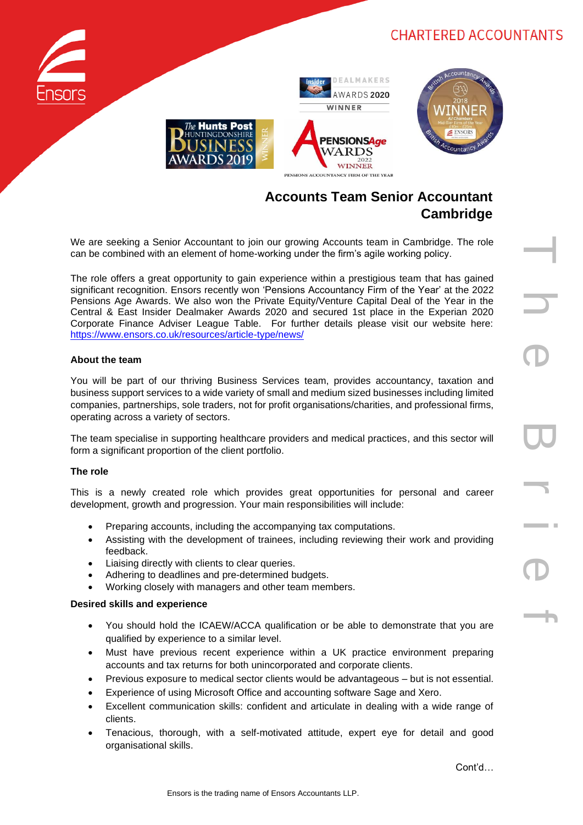

# **Accounts Team Senior Accountant Cambridge**

PENSIONS ACCOUNTANCY FIRM OF THE YEAR

We are seeking a Senior Accountant to join our growing Accounts team in Cambridge. The role can be combined with an element of home-working under the firm's agile working policy.

The role offers a great opportunity to gain experience within a prestigious team that has gained significant recognition. Ensors recently won 'Pensions Accountancy Firm of the Year' at the 2022 Pensions Age Awards. We also won the Private Equity/Venture Capital Deal of the Year in the Central & East Insider Dealmaker Awards 2020 and secured 1st place in the Experian 2020 Corporate Finance Adviser League Table. For further details please visit our website here: <https://www.ensors.co.uk/resources/article-type/news/>

### **About the team**

You will be part of our thriving Business Services team, provides accountancy, taxation and business support services to a wide variety of small and medium sized businesses including limited companies, partnerships, sole traders, not for profit organisations/charities, and professional firms, operating across a variety of sectors.

The team specialise in supporting healthcare providers and medical practices, and this sector will form a significant proportion of the client portfolio.

#### **The role**

This is a newly created role which provides great opportunities for personal and career development, growth and progression. Your main responsibilities will include:

- Preparing accounts, including the accompanying tax computations.
- Assisting with the development of trainees, including reviewing their work and providing feedback.
- Liaising directly with clients to clear queries.
- Adhering to deadlines and pre-determined budgets.
- Working closely with managers and other team members.

#### **Desired skills and experience**

- You should hold the ICAEW/ACCA qualification or be able to demonstrate that you are qualified by experience to a similar level.
- Must have previous recent experience within a UK practice environment preparing accounts and tax returns for both unincorporated and corporate clients.
- Previous exposure to medical sector clients would be advantageous but is not essential.
- Experience of using Microsoft Office and accounting software Sage and Xero.
- Excellent communication skills: confident and articulate in dealing with a wide range of clients.
- Tenacious, thorough, with a self-motivated attitude, expert eye for detail and good organisational skills.